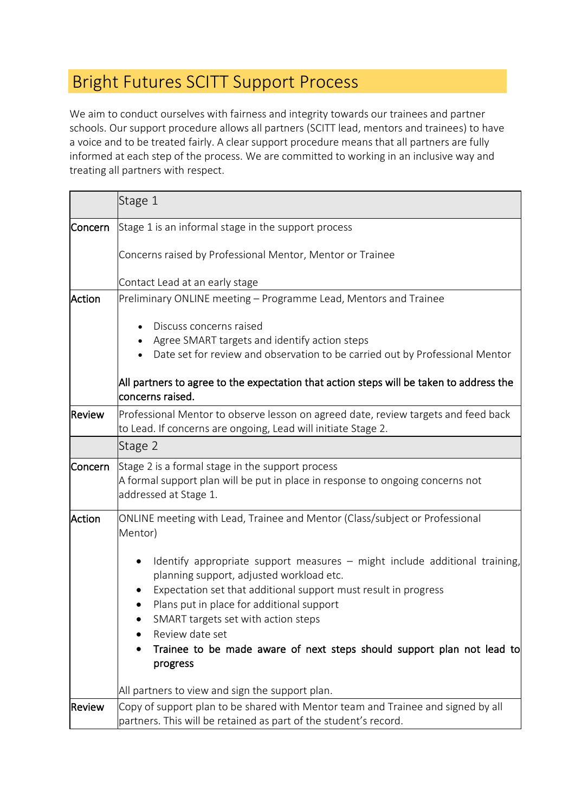## Bright Futures SCITT Support Process

We aim to conduct ourselves with fairness and integrity towards our trainees and partner schools. Our support procedure allows all partners (SCITT lead, mentors and trainees) to have a voice and to be treated fairly. A clear support procedure means that all partners are fully informed at each step of the process. We are committed to working in an inclusive way and treating all partners with respect.

|                | Stage 1                                                                                                                                                                                                                                                                                                                                                                                |
|----------------|----------------------------------------------------------------------------------------------------------------------------------------------------------------------------------------------------------------------------------------------------------------------------------------------------------------------------------------------------------------------------------------|
| Concern        | Stage 1 is an informal stage in the support process                                                                                                                                                                                                                                                                                                                                    |
|                | Concerns raised by Professional Mentor, Mentor or Trainee                                                                                                                                                                                                                                                                                                                              |
|                | Contact Lead at an early stage                                                                                                                                                                                                                                                                                                                                                         |
| Action         | Preliminary ONLINE meeting - Programme Lead, Mentors and Trainee<br>Discuss concerns raised<br>Agree SMART targets and identify action steps<br>Date set for review and observation to be carried out by Professional Mentor                                                                                                                                                           |
|                | All partners to agree to the expectation that action steps will be taken to address the<br>concerns raised.                                                                                                                                                                                                                                                                            |
| Review         | Professional Mentor to observe lesson on agreed date, review targets and feed back<br>to Lead. If concerns are ongoing, Lead will initiate Stage 2.                                                                                                                                                                                                                                    |
|                | Stage 2                                                                                                                                                                                                                                                                                                                                                                                |
| <b>Concern</b> | Stage 2 is a formal stage in the support process<br>A formal support plan will be put in place in response to ongoing concerns not<br>addressed at Stage 1.                                                                                                                                                                                                                            |
| Action         | ONLINE meeting with Lead, Trainee and Mentor (Class/subject or Professional<br>Mentor)                                                                                                                                                                                                                                                                                                 |
|                | Identify appropriate support measures - might include additional training,<br>planning support, adjusted workload etc.<br>Expectation set that additional support must result in progress<br>Plans put in place for additional support<br>SMART targets set with action steps<br>Review date set<br>Trainee to be made aware of next steps should support plan not lead to<br>progress |
|                | All partners to view and sign the support plan.                                                                                                                                                                                                                                                                                                                                        |
| Review         | Copy of support plan to be shared with Mentor team and Trainee and signed by all<br>partners. This will be retained as part of the student's record.                                                                                                                                                                                                                                   |